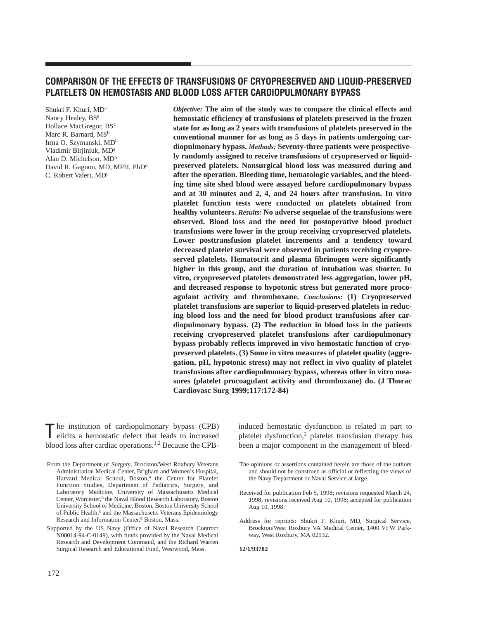# **COMPARISON OF THE EFFECTS OF TRANSFUSIONS OF CRYOPRESERVED AND LIQUID-PRESERVED PLATELETS ON HEMOSTASIS AND BLOOD LOSS AFTER CARDIOPULMONARY BYPASS**

Shukri F. Khuri, MDa Nancy Healey, BS<sup>a</sup> Hollace MacGregor, BS<sup>c</sup> Marc R. Barnard, MS<sup>b</sup> Irma O. Szymanski, MD<sup>b</sup> Vladimir Birjiniuk, MDa Alan D. Michelson, MDb David R. Gagnon, MD, MPH, PhD<sup>d</sup> C. Robert Valeri, MD<sup>c</sup>

*Objective:* **The aim of the study was to compare the clinical effects and hemostatic efficiency of transfusions of platelets preserved in the frozen state for as long as 2 years with transfusions of platelets preserved in the conventional manner for as long as 5 days in patients undergoing cardiopulmonary bypass.** *Methods:* **Seventy-three patients were prospectively randomly assigned to receive transfusions of cryopreserved or liquidpreserved platelets. Nonsurgical blood loss was measured during and after the operation. Bleeding time, hematologic variables, and the bleeding time site shed blood were assayed before cardiopulmonary bypass and at 30 minutes and 2, 4, and 24 hours after transfusion. In vitro platelet function tests were conducted on platelets obtained from healthy volunteers.** *Results:* **No adverse sequelae of the transfusions were observed. Blood loss and the need for postoperative blood product transfusions were lower in the group receiving cryopreserved platelets. Lower posttransfusion platelet increments and a tendency toward decreased platelet survival were observed in patients receiving cryopreserved platelets. Hematocrit and plasma fibrinogen were significantly higher in this group, and the duration of intubation was shorter. In vitro, cryopreserved platelets demonstrated less aggregation, lower pH, and decreased response to hypotonic stress but generated more procoagulant activity and thromboxane.** *Conclusions:* **(1) Cryopreserved platelet transfusions are superior to liquid-preserved platelets in reducing blood loss and the need for blood product transfusions after cardiopulmonary bypass. (2) The reduction in blood loss in the patients receiving cryopreserved platelet transfusions after cardiopulmonary bypass probably reflects improved in vivo hemostatic function of cryopreserved platelets. (3) Some in vitro measures of platelet quality (aggregation, pH, hypotonic stress) may not reflect in vivo quality of platelet transfusions after cardiopulmonary bypass, whereas other in vitro measures (platelet procoagulant activity and thromboxane) do. (J Thorac Cardiovasc Surg 1999;117:172-84)**

The institution of cardiopulmonary bypass (CPB) elicits a hemostatic defect that leads to increased blood loss after cardiac operations.1,2 Because the CPB-

induced hemostatic dysfunction is related in part to platelet dysfunction, $3$  platelet transfusion therapy has been a major component in the management of bleed-

**12/1/93782**

From the Department of Surgery, Brockton/West Roxbury Veterans Administration Medical Center, Brigham and Women's Hospital, Harvard Medical School, Boston,<sup>a</sup> the Center for Platelet Function Studies, Department of Pediatrics, Surgery, and Laboratory Medicine, University of Massachusetts Medical Center, Worcester,<sup>b</sup> the Naval Blood Research Laboratory, Boston University School of Medicine, Boston, Boston University School of Public Health,<sup>c</sup> and the Massachusetts Veterans Epidemiology Research and Information Center,<sup>d</sup> Boston, Mass.

Supported by the US Navy (Office of Naval Research Contract N00014-94-C-0149), with funds provided by the Naval Medical Research and Development Command, and the Richard Warren Surgical Research and Educational Fund, Westwood, Mass.

The opinions or assertions contained herein are those of the authors and should not be construed as official or reflecting the views of the Navy Department or Naval Service at large.

Received for publication Feb 5, 1998; revisions requested March 24, 1998; revisions received Aug 10, 1998; accepted for publication Aug 10, 1998.

Address for reprints: Shukri F. Khuri, MD, Surgical Service, Brockton/West Roxbury VA Medical Center, 1400 VFW Parkway, West Roxbury, MA 02132.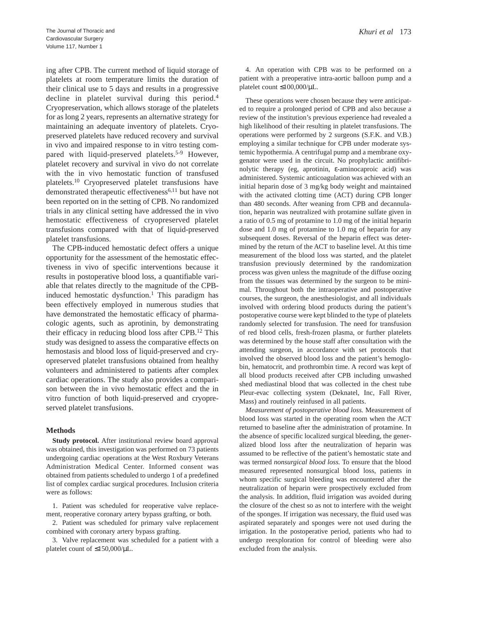ing after CPB. The current method of liquid storage of platelets at room temperature limits the duration of their clinical use to 5 days and results in a progressive decline in platelet survival during this period.<sup>4</sup> Cryopreservation, which allows storage of the platelets for as long 2 years, represents an alternative strategy for maintaining an adequate inventory of platelets. Cryopreserved platelets have reduced recovery and survival in vivo and impaired response to in vitro testing compared with liquid-preserved platelets.<sup>5-9</sup> However, platelet recovery and survival in vivo do not correlate with the in vivo hemostatic function of transfused platelets.10 Cryopreserved platelet transfusions have demonstrated therapeutic effectiveness<sup>6,11</sup> but have not been reported on in the setting of CPB. No randomized trials in any clinical setting have addressed the in vivo hemostatic effectiveness of cryopreserved platelet transfusions compared with that of liquid-preserved platelet transfusions.

The CPB-induced hemostatic defect offers a unique opportunity for the assessment of the hemostatic effectiveness in vivo of specific interventions because it results in postoperative blood loss, a quantifiable variable that relates directly to the magnitude of the CPBinduced hemostatic dysfunction.<sup>1</sup> This paradigm has been effectively employed in numerous studies that have demonstrated the hemostatic efficacy of pharmacologic agents, such as aprotinin, by demonstrating their efficacy in reducing blood loss after CPB.<sup>12</sup> This study was designed to assess the comparative effects on hemostasis and blood loss of liquid-preserved and cryopreserved platelet transfusions obtained from healthy volunteers and administered to patients after complex cardiac operations. The study also provides a comparison between the in vivo hemostatic effect and the in vitro function of both liquid-preserved and cryopreserved platelet transfusions.

#### **Methods**

**Study protocol.** After institutional review board approval was obtained, this investigation was performed on 73 patients undergoing cardiac operations at the West Roxbury Veterans Administration Medical Center. Informed consent was obtained from patients scheduled to undergo 1 of a predefined list of complex cardiac surgical procedures. Inclusion criteria were as follows:

1. Patient was scheduled for reoperative valve replacement, reoperative coronary artery bypass grafting, or both.

2. Patient was scheduled for primary valve replacement combined with coronary artery bypass grafting.

3. Valve replacement was scheduled for a patient with a platelet count of ≤150,000/µL.

4. An operation with CPB was to be performed on a patient with a preoperative intra-aortic balloon pump and a platelet count ≤100,000/µL.

These operations were chosen because they were anticipated to require a prolonged period of CPB and also because a review of the institution's previous experience had revealed a high likelihood of their resulting in platelet transfusions. The operations were performed by 2 surgeons (S.F.K. and V.B.) employing a similar technique for CPB under moderate systemic hypothermia. A centrifugal pump and a membrane oxygenator were used in the circuit. No prophylactic antifibrinolytic therapy (eg, aprotinin, ε-aminocaproic acid) was administered. Systemic anticoagulation was achieved with an initial heparin dose of 3 mg/kg body weight and maintained with the activated clotting time (ACT) during CPB longer than 480 seconds. After weaning from CPB and decannulation, heparin was neutralized with protamine sulfate given in a ratio of 0.5 mg of protamine to 1.0 mg of the initial heparin dose and 1.0 mg of protamine to 1.0 mg of heparin for any subsequent doses. Reversal of the heparin effect was determined by the return of the ACT to baseline level. At this time measurement of the blood loss was started, and the platelet transfusion previously determined by the randomization process was given unless the magnitude of the diffuse oozing from the tissues was determined by the surgeon to be minimal. Throughout both the intraoperative and postoperative courses, the surgeon, the anesthesiologist, and all individuals involved with ordering blood products during the patient's postoperative course were kept blinded to the type of platelets randomly selected for transfusion. The need for transfusion of red blood cells, fresh-frozen plasma, or further platelets was determined by the house staff after consultation with the attending surgeon, in accordance with set protocols that involved the observed blood loss and the patient's hemoglobin, hematocrit, and prothrombin time. A record was kept of all blood products received after CPB including unwashed shed mediastinal blood that was collected in the chest tube Pleur-evac collecting system (Deknatel, Inc, Fall River, Mass) and routinely reinfused in all patients.

*Measurement of postoperative blood loss.* Measurement of blood loss was started in the operating room when the ACT returned to baseline after the administration of protamine. In the absence of specific localized surgical bleeding, the generalized blood loss after the neutralization of heparin was assumed to be reflective of the patient's hemostatic state and was termed *nonsurgical blood loss.* To ensure that the blood measured represented nonsurgical blood loss, patients in whom specific surgical bleeding was encountered after the neutralization of heparin were prospectively excluded from the analysis. In addition, fluid irrigation was avoided during the closure of the chest so as not to interfere with the weight of the sponges. If irrigation was necessary, the fluid used was aspirated separately and sponges were not used during the irrigation. In the postoperative period, patients who had to undergo reexploration for control of bleeding were also excluded from the analysis.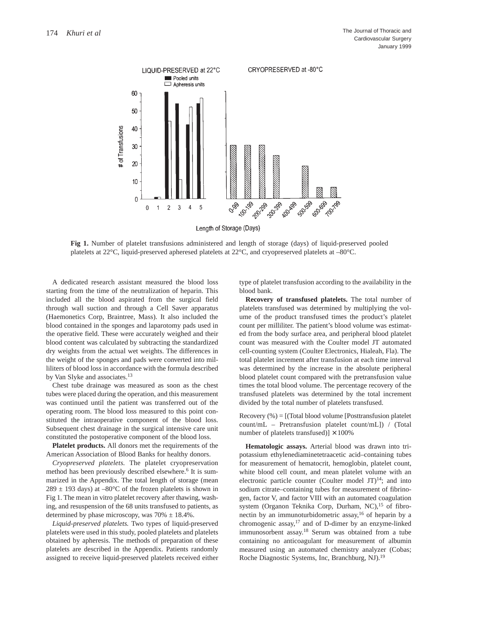

**Fig 1.** Number of platelet transfusions administered and length of storage (days) of liquid-preserved pooled platelets at 22°C, liquid-preserved apheresed platelets at 22°C, and cryopreserved platelets at –80°C.

A dedicated research assistant measured the blood loss starting from the time of the neutralization of heparin. This included all the blood aspirated from the surgical field through wall suction and through a Cell Saver apparatus (Haemonetics Corp, Braintree, Mass). It also included the blood contained in the sponges and laparotomy pads used in the operative field. These were accurately weighed and their blood content was calculated by subtracting the standardized dry weights from the actual wet weights. The differences in the weight of the sponges and pads were converted into milliliters of blood loss in accordance with the formula described by Van Slyke and associates.<sup>13</sup>

Chest tube drainage was measured as soon as the chest tubes were placed during the operation, and this measurement was continued until the patient was transferred out of the operating room. The blood loss measured to this point constituted the intraoperative component of the blood loss. Subsequent chest drainage in the surgical intensive care unit constituted the postoperative component of the blood loss.

**Platelet products.** All donors met the requirements of the American Association of Blood Banks for healthy donors.

*Cryopreserved platelets.* The platelet cryopreservation method has been previously described elsewhere.<sup>6</sup> It is summarized in the Appendix. The total length of storage (mean  $289 \pm 193$  days) at  $-80^{\circ}$ C of the frozen platelets is shown in Fig 1. The mean in vitro platelet recovery after thawing, washing, and resuspension of the 68 units transfused to patients, as determined by phase microscopy, was  $70\% \pm 18.4\%$ .

*Liquid-preserved platelets.* Two types of liquid-preserved platelets were used in this study, pooled platelets and platelets obtained by apheresis. The methods of preparation of these platelets are described in the Appendix. Patients randomly assigned to receive liquid-preserved platelets received either type of platelet transfusion according to the availability in the blood bank.

**Recovery of transfused platelets.** The total number of platelets transfused was determined by multiplying the volume of the product transfused times the product's platelet count per milliliter. The patient's blood volume was estimated from the body surface area, and peripheral blood platelet count was measured with the Coulter model JT automated cell-counting system (Coulter Electronics, Hialeah, Fla). The total platelet increment after transfusion at each time interval was determined by the increase in the absolute peripheral blood platelet count compared with the pretransfusion value times the total blood volume. The percentage recovery of the transfused platelets was determined by the total increment divided by the total number of platelets transfused.

Recovery  $% =$  [(Total blood volume [Posttransfusion platelet count/mL – Pretransfusion platelet count/mL]) / (Total number of platelets transfused)]  $\times$  100%

**Hematologic assays.** Arterial blood was drawn into tripotassium ethylenediaminetetraacetic acid–containing tubes for measurement of hematocrit, hemoglobin, platelet count, white blood cell count, and mean platelet volume with an electronic particle counter (Coulter model JT)<sup>14</sup>; and into sodium citrate–containing tubes for measurement of fibrinogen, factor V, and factor VIII with an automated coagulation system (Organon Teknika Corp, Durham, NC),<sup>15</sup> of fibronectin by an immunoturbidometric assay,<sup>16</sup> of heparin by a chromogenic assay, $17$  and of D-dimer by an enzyme-linked immunosorbent assay.18 Serum was obtained from a tube containing no anticoagulant for measurement of albumin measured using an automated chemistry analyzer (Cobas; Roche Diagnostic Systems, Inc, Branchburg, NJ).19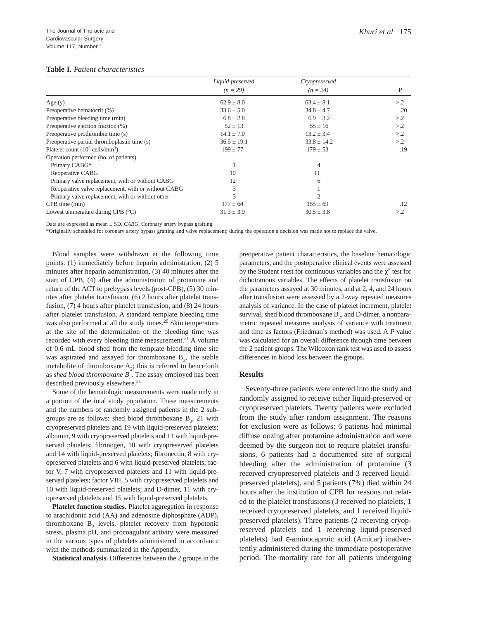| Khuri et al 175 |  |  |
|-----------------|--|--|
|                 |  |  |

|                                                     | Liquid-preserved | Cryopreserved   |        |
|-----------------------------------------------------|------------------|-----------------|--------|
|                                                     | $(n = 29)$       | $(n = 24)$      | P      |
| Age $(y)$                                           | $62.9 \pm 8.0$   | $63.4 \pm 8.1$  | $>2$ . |
| Preoperative hematocrit (%)                         | $33.6 \pm 5.0$   | $34.8 \pm 4.7$  | .20    |
| Preoperative bleeding time (min)                    | $6.8 \pm 2.8$    | $6.9 \pm 3.2$   | >2     |
| Preoperative ejection fraction (%)                  | $52 \pm 13$      | $55 \pm 16$     | >2     |
| Preoperative prothrombin time (s)                   | $14.1 \pm 7.0$   | $13.2 \pm 3.4$  | >2     |
| Preoperative partial thromboplastin time (s)        | $36.5 \pm 19.1$  | $33.8 \pm 14.2$ | $>2$ . |
| Platelet count $(10^3 \text{ cells/mm}^3)$          | $199 \pm 77$     | $179 \pm 53$    | .19    |
| Operation performed (no. of patients)               |                  |                 |        |
| Primary CABG*                                       |                  | 4               |        |
| Reoperative CABG                                    | 10               | 11              |        |
| Primary valve replacement, with or without CABG     | 12               | 6               |        |
| Reoperative valve replacement, with or without CABG | 3                |                 |        |
| Primary valve replacement, with or without other    | 3                |                 |        |
| CPB time (min)                                      | $177 \pm 64$     | $155 \pm 69$    | .12    |
| Lowest temperature during CPB $(^{\circ}C)$         | $31.3 \pm 3.9$   | $30.5 \pm 3.8$  | >2     |

Data are expressed as mean ± SD. *CABG,* Coronary artery bypass grafting.

\*Originally scheduled for coronary artery bypass grafting and valve replacement; during the operation a decision was made not to replace the valve.

Blood samples were withdrawn at the following time points: (1) immediately before heparin administration, (2) 5 minutes after heparin administration, (3) 40 minutes after the start of CPB, (4) after the administration of protamine and return of the ACT to prebypass levels (post-CPB), (5) 30 minutes after platelet transfusion, (6) 2 hours after platelet transfusion, (7) 4 hours after platelet transfusion, and (8) 24 hours after platelet transfusion. A standard template bleeding time was also performed at all the study times. $20$  Skin temperature at the site of the determination of the bleeding time was recorded with every bleeding time measurement.<sup>21</sup> A volume of 0.6 mL blood shed from the template bleeding time site was aspirated and assayed for thromboxane  $B<sub>2</sub>$ , the stable metabolite of thromboxane  $A_2$ ; this is referred to henceforth as *shed blood thromboxane*  $B_2$ . The assay employed has been described previously elsewhere.<sup>21</sup>

Some of the hematologic measurements were made only in a portion of the total study population. These measurements and the numbers of randomly assigned patients in the 2 subgroups are as follows: shed blood thromboxane  $B_2$ , 21 with cryopreserved platelets and 19 with liquid-preserved platelets; albumin, 9 with cryopreserved platelets and 11 with liquid-preserved platelets; fibrinogen, 10 with cryopreserved platelets and 14 with liquid-preserved platelets; fibronectin, 8 with cryopreserved platelets and 6 with liquid-preserved platelets; factor V, 7 with cryopreserved platelets and 11 with liquid-preserved platelets; factor VIII, 5 with cryopreserved platelets and 10 with liquid-preserved platelets; and D-dimer, 11 with cryopreserved platelets and 15 with liquid-preserved platelets.

**Platelet function studies.** Platelet aggregation in response to arachidonic acid (AA) and adenosine diphosphate (ADP), thromboxane  $B<sub>2</sub>$  levels, platelet recovery from hypotonic stress, plasma pH, and procoagulant activity were measured in the various types of platelets administered in accordance with the methods summarized in the Appendix.

**Statistical analysis.** Differences between the 2 groups in the

preoperative patient characteristics, the baseline hematologic parameters, and the postoperative clinical events were assessed by the Student *t* test for continuous variables and the  $\chi^2$  test for dichotomous variables. The effects of platelet transfusion on the parameters assayed at 30 minutes, and at 2, 4, and 24 hours after transfusion were assessed by a 2-way repeated measures analysis of variance. In the case of platelet increment, platelet survival, shed blood thromboxane  $B_2$ , and D-dimer, a nonparametric repeated measures analysis of variance with treatment and time as factors (Friedman's method) was used. A *P* value was calculated for an overall difference through time between the 2 patient groups. The Wilcoxon rank test was used to assess differences in blood loss between the groups.

#### **Results**

Seventy-three patients were entered into the study and randomly assigned to receive either liquid-preserved or cryopreserved platelets. Twenty patients were excluded from the study after random assignment. The reasons for exclusion were as follows: 6 patients had minimal diffuse oozing after protamine administration and were deemed by the surgeon not to require platelet transfusions, 6 patients had a documented site of surgical bleeding after the administration of protamine (3 received cryopreserved platelets and 3 received liquidpreserved platelets), and 5 patients (7%) died within 24 hours after the institution of CPB for reasons not related to the platelet transfusions (3 received no platelets, 1 received cryopreserved platelets, and 1 received liquidpreserved platelets). Three patients (2 receiving cryopreserved platelets and 1 receiving liquid-preserved platelets) had ε-aminocaproic acid (Amicar) inadvertently administered during the immediate postoperative period. The mortality rate for all patients undergoing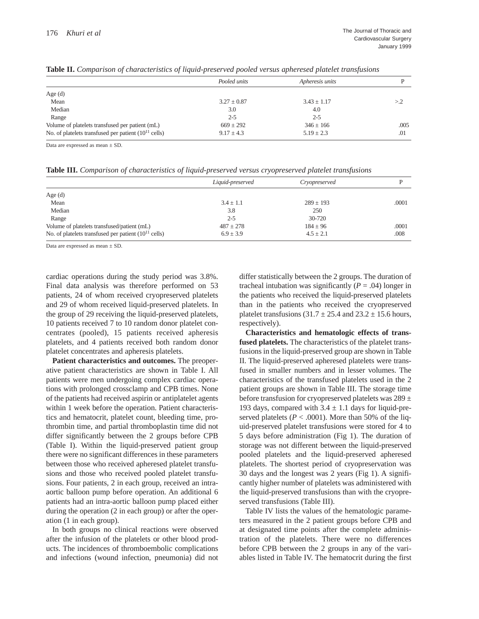| Pooled units   | Apheresis units |      |
|----------------|-----------------|------|
|                |                 |      |
| $3.27 + 0.87$  | $3.43 + 1.17$   | >2   |
| 3.0            | 4.0             |      |
| $2 - 5$        | $2 - 5$         |      |
| $669 \pm 292$  | $346 \pm 166$   | .005 |
| $9.17 \pm 4.3$ | $5.19 + 2.3$    | .01  |
|                |                 |      |

|  |  | Table II. Comparison of characteristics of liquid-preserved pooled versus apheresed platelet transfusions |  |  |  |  |  |
|--|--|-----------------------------------------------------------------------------------------------------------|--|--|--|--|--|
|  |  |                                                                                                           |  |  |  |  |  |

Data are expressed as mean  $\pm$  SD.

**Table III.** *Comparison of characteristics of liquid-preserved versus cryopreserved platelet transfusions*

| Liquid-preserved | Cryopreserved |       |
|------------------|---------------|-------|
|                  |               |       |
| $3.4 \pm 1.1$    | $289 \pm 193$ | .0001 |
| 3.8              | 250           |       |
| $2 - 5$          | 30-720        |       |
| $487 \pm 278$    | $184 \pm 96$  | .0001 |
| $6.9 \pm 3.9$    | $4.5 \pm 2.1$ | .008  |
|                  |               |       |

Data are expressed as mean ± SD.

cardiac operations during the study period was 3.8%. Final data analysis was therefore performed on 53 patients, 24 of whom received cryopreserved platelets and 29 of whom received liquid-preserved platelets. In the group of 29 receiving the liquid-preserved platelets, 10 patients received 7 to 10 random donor platelet concentrates (pooled), 15 patients received apheresis platelets, and 4 patients received both random donor platelet concentrates and apheresis platelets.

**Patient characteristics and outcomes.** The preoperative patient characteristics are shown in Table I. All patients were men undergoing complex cardiac operations with prolonged crossclamp and CPB times. None of the patients had received aspirin or antiplatelet agents within 1 week before the operation. Patient characteristics and hematocrit, platelet count, bleeding time, prothrombin time, and partial thromboplastin time did not differ significantly between the 2 groups before CPB (Table I). Within the liquid-preserved patient group there were no significant differences in these parameters between those who received apheresed platelet transfusions and those who received pooled platelet transfusions. Four patients, 2 in each group, received an intraaortic balloon pump before operation. An additional 6 patients had an intra-aortic balloon pump placed either during the operation (2 in each group) or after the operation (1 in each group).

In both groups no clinical reactions were observed after the infusion of the platelets or other blood products. The incidences of thromboembolic complications and infections (wound infection, pneumonia) did not differ statistically between the 2 groups. The duration of tracheal intubation was significantly  $(P = .04)$  longer in the patients who received the liquid-preserved platelets than in the patients who received the cryopreserved platelet transfusions  $(31.7 \pm 25.4 \text{ and } 23.2 \pm 15.6 \text{ hours})$ , respectively).

**Characteristics and hematologic effects of transfused platelets.** The characteristics of the platelet transfusions in the liquid-preserved group are shown in Table II. The liquid-preserved apheresed platelets were transfused in smaller numbers and in lesser volumes. The characteristics of the transfused platelets used in the 2 patient groups are shown in Table III. The storage time before transfusion for cryopreserved platelets was  $289 \pm$ 193 days, compared with  $3.4 \pm 1.1$  days for liquid-preserved platelets ( $P < .0001$ ). More than 50% of the liquid-preserved platelet transfusions were stored for 4 to 5 days before administration (Fig 1). The duration of storage was not different between the liquid-preserved pooled platelets and the liquid-preserved apheresed platelets. The shortest period of cryopreservation was 30 days and the longest was 2 years (Fig 1). A significantly higher number of platelets was administered with the liquid-preserved transfusions than with the cryopreserved transfusions (Table III).

Table IV lists the values of the hematologic parameters measured in the 2 patient groups before CPB and at designated time points after the complete administration of the platelets. There were no differences before CPB between the 2 groups in any of the variables listed in Table IV. The hematocrit during the first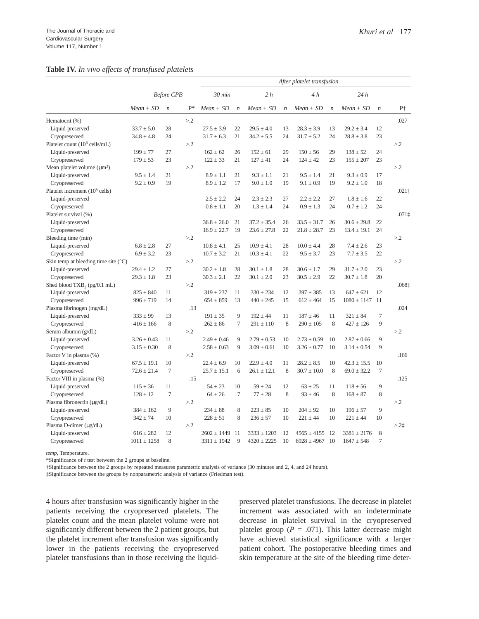### **Table IV.** *In vivo effects of transfused platelets*

|                                               |                   |                  |                  | After platelet transfusion |                  |                 |                  |                 |                  |                    |                  |          |  |  |  |
|-----------------------------------------------|-------------------|------------------|------------------|----------------------------|------------------|-----------------|------------------|-----------------|------------------|--------------------|------------------|----------|--|--|--|
|                                               | <b>Before CPB</b> |                  | $30 \text{ min}$ |                            | 2h               |                 | 4h               |                 | 24 h             |                    |                  |          |  |  |  |
|                                               | $Mean \pm SD$     | $\boldsymbol{n}$ | $P*$             | $Mean + SD$                | $\boldsymbol{n}$ | $Mean + SD$     | $\boldsymbol{n}$ | $Mean + SD$     | $\boldsymbol{n}$ | $Mean + SD$        | $\boldsymbol{n}$ | P†       |  |  |  |
| Hematocrit (%)                                |                   |                  | >2               |                            |                  |                 |                  |                 |                  |                    |                  | .027     |  |  |  |
| Liquid-preserved                              | $33.7 \pm 5.0$    | 28               |                  | $27.5 \pm 3.9$             | 22               | $29.5 \pm 4.0$  | 13               | $28.3 \pm 3.9$  | 13               | $29.2 \pm 3.4$     | 12               |          |  |  |  |
| Cryopreserved                                 | $34.8 \pm 4.8$    | 24               |                  | $31.7 \pm 6.3$             | 21               | $34.2 \pm 5.5$  | 24               | $31.7 \pm 5.2$  | 24               | $28.8 \pm 3.8$     | 23               |          |  |  |  |
| Platelet count $(10^6 \text{ cells/mL})$      |                   |                  | >2               |                            |                  |                 |                  |                 |                  |                    |                  | >2       |  |  |  |
| Liquid-preserved                              | $199 \pm 77$      | 27               |                  | $162 \pm 62$               | 26               | $152 \pm 61$    | 29               | $150 \pm 56$    | 29               | $138 \pm 52$       | 24               |          |  |  |  |
| Cryopreserved                                 | $179 \pm 53$      | 23               |                  | $122 \pm 33$               | 21               | $127 \pm 41$    | 24               | $124 \pm 42$    | 23               | $155 \pm 207$      | 23               |          |  |  |  |
| Mean platelet volume $(\mu m^3)$              |                   |                  | >2               |                            |                  |                 |                  |                 |                  |                    |                  | >2       |  |  |  |
| Liquid-preserved                              | $9.5 \pm 1.4$     | 21               |                  | $8.9 \pm 1.1$              | 21               | $9.3 \pm 1.1$   | 21               | $9.5 \pm 1.4$   | 21               | $9.3 \pm 0.9$      | 17               |          |  |  |  |
| Cryopreserved                                 | $9.2 \pm 0.9$     | 19               |                  | $8.9 \pm 1.2$              | 17               | $9.0 \pm 1.0$   | 19               | $9.1 \pm 0.9$   | 19               | $9.2 \pm 1.0$      | 18               |          |  |  |  |
| Platelet increment (10 <sup>8</sup> cells)    |                   |                  |                  |                            |                  |                 |                  |                 |                  |                    |                  | $.021$ ‡ |  |  |  |
| Liquid-preserved                              |                   |                  |                  | $2.5 \pm 2.2$              | 24               | $2.3 \pm 2.3$   | 27               | $2.2 \pm 2.2$   | 27               | $1.8 \pm 1.6$      | 22               |          |  |  |  |
| Cryopreserved                                 |                   |                  |                  | $0.8 \pm 1.1$              | 20               | $1.3 \pm 1.4$   | 24               | $0.9 \pm 1.3$   | 24               | $0.7 \pm 1.2$      | 24               |          |  |  |  |
| Platelet survival (%)                         |                   |                  |                  |                            |                  |                 |                  |                 |                  |                    |                  | .0711    |  |  |  |
| Liquid-preserved                              |                   |                  |                  | $36.8 \pm 26.0$            | 21               | $37.2 \pm 35.4$ | 26               | $33.5 \pm 31.7$ | 26               | $30.6 \pm 29.8$    | 22               |          |  |  |  |
| Cryopreserved                                 |                   |                  |                  | $16.9 \pm 22.7$            | 19               | $23.6 \pm 27.8$ | 22               | $21.8 \pm 28.7$ | 23               | $13.4 \pm 19.1$    | 24               |          |  |  |  |
| Bleeding time (min)                           |                   |                  | >2               |                            |                  |                 |                  |                 |                  |                    |                  | >2       |  |  |  |
| Liquid-preserved                              | $6.8 \pm 2.8$     | 27               |                  | $10.8 \pm 4.1$             | 25               | $10.9 \pm 4.1$  | 28               | $10.0 \pm 4.4$  | 28               | $7.4 \pm 2.6$      | 23               |          |  |  |  |
| Cryopreserved                                 | $6.9 \pm 3.2$     | 23               |                  | $10.7 \pm 3.2$             | 21               | $10.3 \pm 4.1$  | 22               | $9.5 \pm 3.7$   | 23               | $7.7 \pm 3.5$      | 22               |          |  |  |  |
| Skin temp at bleeding time site $(^{\circ}C)$ |                   |                  | >2               |                            |                  |                 |                  |                 |                  |                    |                  | >2       |  |  |  |
| Liquid-preserved                              | $29.4 \pm 1.2$    | 27               |                  | $30.2 \pm 1.8$             | 28               | $30.1 \pm 1.8$  | 28               | $30.6 \pm 1.7$  | 29               | $31.7 \pm 2.0$     | 23               |          |  |  |  |
| Cryopreserved                                 | $29.3 \pm 1.8$    | 23               |                  | $30.3 \pm 2.1$             | 22               | $30.1 \pm 2.0$  | 23               | $30.5 \pm 2.9$  | 22               | $30.7 \pm 1.8$     | 20               |          |  |  |  |
|                                               |                   |                  | >2               |                            |                  |                 |                  |                 |                  |                    |                  |          |  |  |  |
| Shed blood TXB <sub>2</sub> (pg/0.1 mL)       |                   | 11               |                  | $319 \pm 237$              | 11               | $330 \pm 234$   | 12               | $397 \pm 385$   | 13               | $647 \pm 621$      | 12               | .068‡    |  |  |  |
| Liquid-preserved                              | $825 \pm 840$     |                  |                  |                            | 13               |                 |                  |                 | 15               |                    |                  |          |  |  |  |
| Cryopreserved                                 | $996 \pm 719$     | 14               |                  | $654 \pm 859$              |                  | $440 \pm 245$   | 15               | $612 \pm 464$   |                  | $1080 \pm 1147$ 11 |                  |          |  |  |  |
| Plasma fibrinogen (mg/dL)                     |                   |                  | .13              |                            | $\overline{9}$   |                 |                  |                 |                  |                    |                  | .024     |  |  |  |
| Liquid-preserved                              | $333 \pm 99$      | 13               |                  | $191 \pm 35$               |                  | $192 \pm 44$    | 11               | $187 \pm 46$    | 11               | $321 \pm 84$       | $\tau$           |          |  |  |  |
| Cryopreserved                                 | $416 \pm 166$     | 8                |                  | $262 \pm 86$               | $\tau$           | $291 \pm 110$   | 8                | $290 \pm 105$   | 8                | $427 \pm 126$      | 9                |          |  |  |  |
| Serum albumin (g/dL)                          |                   |                  | >2               |                            |                  |                 |                  |                 |                  |                    |                  | >2       |  |  |  |
| Liquid-preserved                              | $3.26 \pm 0.43$   | 11               |                  | $2.49 \pm 0.46$            | 9                | $2.79 \pm 0.53$ | 10               | $2.73 \pm 0.59$ | 10               | $2.87 \pm 0.66$    | 9                |          |  |  |  |
| Cryopreserved                                 | $3.15 \pm 0.30$   | 8                |                  | $2.58 \pm 0.63$            | 9                | $3.09 \pm 0.61$ | 10               | $3.26 \pm 0.77$ | 10               | $3.14 \pm 0.54$    | 9                |          |  |  |  |
| Factor V in plasma (%)                        |                   |                  | >2               |                            |                  |                 |                  |                 |                  |                    |                  | .166     |  |  |  |
| Liquid-preserved                              | $67.5 \pm 19.1$   | 10               |                  | $22.4 \pm 6.9$             | 10               | $22.9 \pm 4.0$  | 11               | $28.2 \pm 8.5$  | 10               | $42.3 \pm 15.5$    | 10               |          |  |  |  |
| Cryopreserved                                 | $72.6 \pm 21.4$   | $\boldsymbol{7}$ |                  | $25.7 \pm 15.1$            | 6                | $26.1 \pm 12.1$ | 8                | $30.7 \pm 10.0$ | 8                | $69.0 \pm 32.2$    | $\tau$           |          |  |  |  |
| Factor VIII in plasma (%)                     |                   |                  | .15              |                            |                  |                 |                  |                 |                  |                    |                  | .125     |  |  |  |
| Liquid-preserved                              | $115 \pm 36$      | 11               |                  | $54 \pm 23$                | 10               | $59 \pm 24$     | 12               | $63 \pm 25$     | 11               | $118 \pm 56$       | 9                |          |  |  |  |
| Cryopreserved                                 | $128 \pm 12$      | $\tau$           |                  | $64 \pm 26$                | $\tau$           | $77 \pm 28$     | 8                | $93 \pm 46$     | 8                | $168 \pm 87$       | 8                |          |  |  |  |
| Plasma fibronectin (µg/dL)                    |                   |                  | >2               |                            |                  |                 |                  |                 |                  |                    |                  | >2       |  |  |  |
| Liquid-preserved                              | $384 \pm 162$     | 9                |                  | $234 \pm 88$               | 8                | $223 \pm 85$    | 10               | $204 \pm 92$    | 10               | $196 \pm 57$       | $\overline{9}$   |          |  |  |  |
| Cryopreserved                                 | $342 \pm 74$      | 10               |                  | $228 \pm 51$               | 8                | $236 \pm 57$    | 10               | $221 \pm 44$    | 10               | $221 \pm 44$       | 10               |          |  |  |  |
| Plasma D-dimer (µg/dL)                        |                   |                  | >2               |                            |                  |                 |                  |                 |                  |                    |                  | > 21     |  |  |  |
| Liquid-preserved                              | $616 \pm 282$     | 12               |                  | $2602 \pm 1449$            | 11               | $3333 \pm 1203$ | 12               | $4565 \pm 4155$ | 12               | $3381 \pm 2176$    | 8                |          |  |  |  |
| Cryopreserved                                 | $1011 \pm 1258$   | 8                |                  | $3311 \pm 1942$            | 9                | $4320 \pm 2225$ | 10               | $6928 \pm 4967$ | 10               | $1647 \pm 548$     | $\tau$           |          |  |  |  |

*temp,* Temperature.

\*Significance of *t* test between the 2 groups at baseline.

†Significance between the 2 groups by repeated measures parametric analysis of variance (30 minutes and 2, 4, and 24 hours).

‡Significance between the groups by nonparametric analysis of variance (Friedman test).

4 hours after transfusion was significantly higher in the patients receiving the cryopreserved platelets. The platelet count and the mean platelet volume were not significantly different between the 2 patient groups, but the platelet increment after transfusion was significantly lower in the patients receiving the cryopreserved platelet transfusions than in those receiving the liquidpreserved platelet transfusions. The decrease in platelet increment was associated with an indeterminate decrease in platelet survival in the cryopreserved platelet group ( $P = .071$ ). This latter decrease might have achieved statistical significance with a larger patient cohort. The postoperative bleeding times and skin temperature at the site of the bleeding time deter-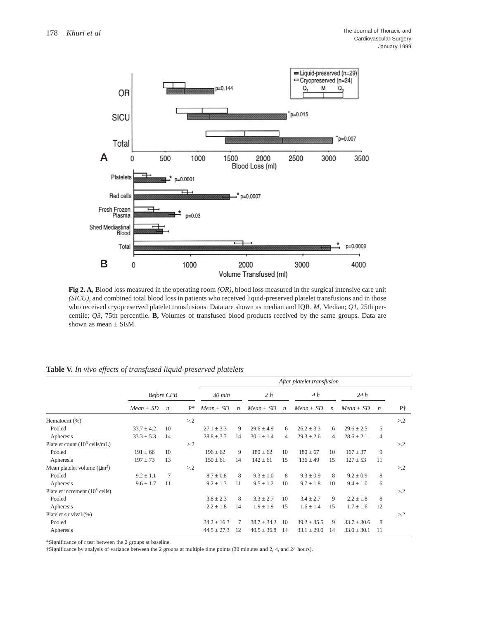

**Fig 2. A,** Blood loss measured in the operating room *(OR),* blood loss measured in the surgical intensive care unit *(SICU),* and combined total blood loss in patients who received liquid-preserved platelet transfusions and in those who received cryopreserved platelet transfusions. Data are shown as median and IQR. *M,* Median; *Q1,* 25th percentile; *Q3,* 75th percentile. **B,** Volumes of transfused blood products received by the same groups. Data are shown as mean  $\pm$  SEM.

|                                          |                   |                  |      | After platelet transfusion |                  |                 |                  |                 |                  |                 |                  |                |  |  |
|------------------------------------------|-------------------|------------------|------|----------------------------|------------------|-----------------|------------------|-----------------|------------------|-----------------|------------------|----------------|--|--|
|                                          | <b>Before CPB</b> |                  |      | $30 \text{ min}$           |                  | 2h              |                  | 4h              |                  | 24h             |                  |                |  |  |
|                                          | $Mean \pm SD$     | $\boldsymbol{n}$ | $P*$ | $Mean \pm SD$              | $\boldsymbol{n}$ | $Mean \pm SD$   | $\boldsymbol{n}$ | $Mean \pm SD$   | $\boldsymbol{n}$ | $Mean \pm SD$   | $\boldsymbol{n}$ | P <sub>1</sub> |  |  |
| Hematocrit (%)                           |                   |                  | >2   |                            |                  |                 |                  |                 |                  |                 |                  | >2             |  |  |
| Pooled                                   | $33.7 \pm 4.2$    | 10               |      | $27.1 \pm 3.3$             | 9                | $29.6 \pm 4.9$  | 6                | $26.2 \pm 3.3$  | 6                | $29.6 \pm 2.5$  | 5                |                |  |  |
| Apheresis                                | $33.3 \pm 5.3$    | 14               |      | $28.8 \pm 3.7$             | 14               | $30.1 \pm 1.4$  | $\overline{4}$   | $29.3 \pm 2.6$  | 4                | $28.6 \pm 2.1$  | $\overline{4}$   |                |  |  |
| Platelet count $(10^6 \text{ cells/mL})$ |                   |                  | >2   |                            |                  |                 |                  |                 |                  |                 |                  | >2             |  |  |
| Pooled                                   | $191 \pm 66$      | 10               |      | $196 \pm 62$               | 9                | $180 \pm 62$    | 10               | $180 \pm 67$    | 10               | $167 \pm 37$    | 9                |                |  |  |
| Apheresis                                | $197 \pm 73$      | 13               |      | $150 \pm 61$               | 14               | $142 \pm 61$    | 15               | $136 \pm 49$    | 15               | $127 \pm 53$    | 11               |                |  |  |
| Mean platelet volume $(\mu m^3)$         |                   |                  | >2   |                            |                  |                 |                  |                 |                  |                 |                  | >2             |  |  |
| Pooled                                   | $9.2 \pm 1.1$     | $\overline{7}$   |      | $8.7 \pm 0.8$              | 8                | $9.3 \pm 1.0$   | 8                | $9.3 \pm 0.9$   | 8                | $9.2 \pm 0.9$   | 8                |                |  |  |
| Apheresis                                | $9.6 \pm 1.7$     | 11               |      | $9.2 \pm 1.3$              | 11               | $9.5 \pm 1.2$   | 10               | $9.7 \pm 1.8$   | 10               | $9.4 \pm 1.0$   | 6                |                |  |  |
| Platelet increment $(108$ cells)         |                   |                  |      |                            |                  |                 |                  |                 |                  |                 |                  | >2             |  |  |
| Pooled                                   |                   |                  |      | $3.8 \pm 2.3$              | 8                | $3.3 \pm 2.7$   | 10               | $3.4 \pm 2.7$   | 9                | $2.2 \pm 1.8$   | 8                |                |  |  |
| Apheresis                                |                   |                  |      | $2.2 \pm 1.8$              | 14               | $1.9 \pm 1.9$   | 15               | $1.6 \pm 1.4$   | 15               | $1.7 \pm 1.6$   | 12               |                |  |  |
| Platelet survival (%)                    |                   |                  |      |                            |                  |                 |                  |                 |                  |                 |                  | >2             |  |  |
| Pooled                                   |                   |                  |      | $34.2 \pm 16.3$            |                  | $38.7 \pm 34.2$ | 10               | $39.2 \pm 35.5$ | 9                | $33.7 \pm 30.6$ | 8                |                |  |  |
| Apheresis                                |                   |                  |      | $44.5 \pm 27.3$            | 12               | $40.5 \pm 36.8$ | 14               | $33.1 \pm 29.0$ | 14               | $33.0 \pm 30.1$ | 11               |                |  |  |

**Table V.** *In vivo effects of transfused liquid-preserved platelets*

\*Significance of *t* test between the 2 groups at baseline.

†Significance by analysis of variance between the 2 groups at multiple time points (30 minutes and 2, 4, and 24 hours).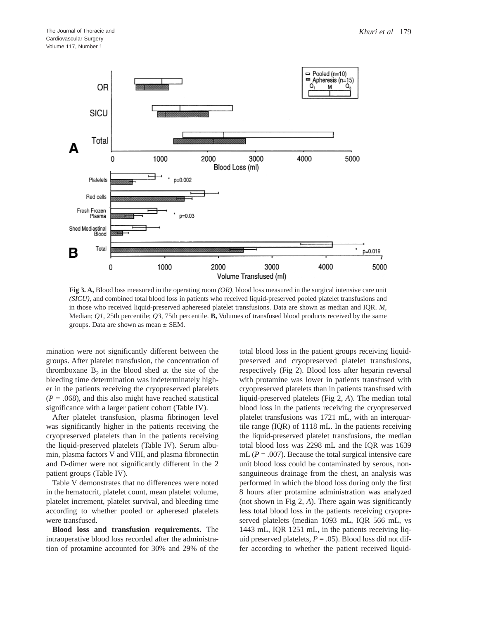

**Fig 3. A,** Blood loss measured in the operating room *(OR),* blood loss measured in the surgical intensive care unit *(SICU),* and combined total blood loss in patients who received liquid-preserved pooled platelet transfusions and in those who received liquid-preserved apheresed platelet transfusions. Data are shown as median and IQR. *M,* Median; *Q1,* 25th percentile; *Q3,* 75th percentile. **B,** Volumes of transfused blood products received by the same groups. Data are shown as mean  $\pm$  SEM.

mination were not significantly different between the groups. After platelet transfusion, the concentration of thromboxane  $B_2$  in the blood shed at the site of the bleeding time determination was indeterminately higher in the patients receiving the cryopreserved platelets  $(P = .068)$ , and this also might have reached statistical significance with a larger patient cohort (Table IV).

After platelet transfusion, plasma fibrinogen level was significantly higher in the patients receiving the cryopreserved platelets than in the patients receiving the liquid-preserved platelets (Table IV). Serum albumin, plasma factors V and VIII, and plasma fibronectin and D-dimer were not significantly different in the 2 patient groups (Table IV).

Table V demonstrates that no differences were noted in the hematocrit, platelet count, mean platelet volume, platelet increment, platelet survival, and bleeding time according to whether pooled or apheresed platelets were transfused.

**Blood loss and transfusion requirements.** The intraoperative blood loss recorded after the administration of protamine accounted for 30% and 29% of the total blood loss in the patient groups receiving liquidpreserved and cryopreserved platelet transfusions, respectively (Fig 2). Blood loss after heparin reversal with protamine was lower in patients transfused with cryopreserved platelets than in patients transfused with liquid-preserved platelets (Fig 2, *A*). The median total blood loss in the patients receiving the cryopreserved platelet transfusions was 1721 mL, with an interquartile range (IQR) of 1118 mL. In the patients receiving the liquid-preserved platelet transfusions, the median total blood loss was 2298 mL and the IQR was 1639 mL ( $P = .007$ ). Because the total surgical intensive care unit blood loss could be contaminated by serous, nonsanguineous drainage from the chest, an analysis was performed in which the blood loss during only the first 8 hours after protamine administration was analyzed (not shown in Fig 2, *A*). There again was significantly less total blood loss in the patients receiving cryopreserved platelets (median 1093 mL, IQR 566 mL, vs 1443 mL, IQR 1251 mL, in the patients receiving liquid preserved platelets,  $P = .05$ ). Blood loss did not differ according to whether the patient received liquid-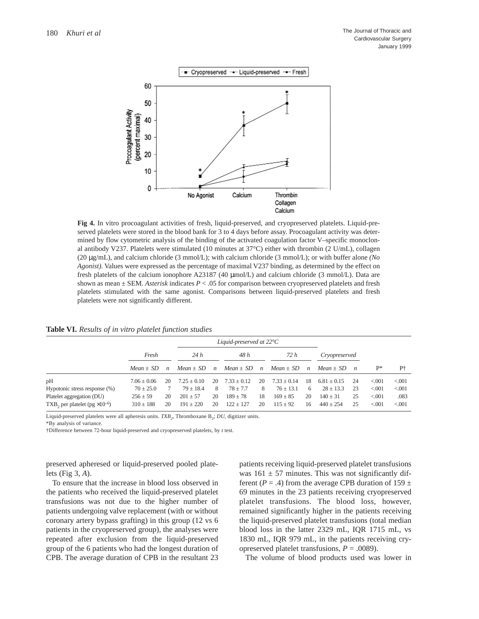

**Fig 4.** In vitro procoagulant activities of fresh, liquid-preserved, and cryopreserved platelets. Liquid-preserved platelets were stored in the blood bank for 3 to 4 days before assay. Procoagulant activity was determined by flow cytometric analysis of the binding of the activated coagulation factor V–specific monoclonal antibody V237. Platelets were stimulated (10 minutes at 37°C) either with thrombin (2 U/mL), collagen (20 µg/mL), and calcium chloride (3 mmol/L); with calcium chloride (3 mmol/L); or with buffer alone *(No Agonist).* Values were expressed as the percentage of maximal V237 binding, as determined by the effect on fresh platelets of the calcium ionophore A23187 (40 µmol/L) and calcium chloride (3 mmol/L). Data are shown as mean ± SEM. *Asterisk* indicates *P* < .05 for comparison between cryopreserved platelets and fresh platelets stimulated with the same agonist. Comparisons between liquid-preserved platelets and fresh platelets were not significantly different.

|                                                                       | Fresh                         |                  | 24 h                      |                  | 48 h                      |                  | 72 h                     |                  | Cryopreserved             |                  |                    |                 |
|-----------------------------------------------------------------------|-------------------------------|------------------|---------------------------|------------------|---------------------------|------------------|--------------------------|------------------|---------------------------|------------------|--------------------|-----------------|
|                                                                       | $Mean + SD$                   | $\boldsymbol{n}$ | $Mean + SD$               | $\boldsymbol{n}$ | $Mean \pm SD$             | $\boldsymbol{n}$ | $Mean + SD$              | $\boldsymbol{n}$ | $Mean + SD$               | $\boldsymbol{n}$ | $P*$               | P†              |
| pH                                                                    | $7.06 + 0.06$                 | 20               | $7.25 + 0.10$             | 20               | $7.33 + 0.12$             | 20               | $7.33 + 0.14$            | 18               | $6.81 + 0.15$             | 24               | < 0.01             | < 0.001         |
| Hypotonic stress response (%)                                         | $70 \pm 25.0$                 |                  | $79 + 18.4$               | 8                | $78 + 7.7$                | 8                | $76 \pm 13.1$            | 6                | $28 + 13.3$               | 23               | < 0.001            | < 0.001         |
| Platelet aggregation (DU)<br>TXB, per platelet (pg $\times 10^{-6}$ ) | $256 \pm 59$<br>$310 \pm 188$ | 20<br>20         | $201 + 57$<br>$191 + 220$ | 20<br>20         | $189 + 78$<br>$122 + 127$ | 18<br>20         | $169 + 85$<br>$115 + 92$ | 20<br>16         | $140 + 31$<br>$440 + 254$ | 25<br>25         | < 0.001<br>< 0.001 | .083<br>< 0.001 |

**Table VI.** *Results of in vitro platelet function studies*

Liquid-preserved platelets were all apheresis units.  $TXB<sub>2</sub>$ , Thromboxane B<sub>2</sub>; *DU*, digitizer units.

\*By analysis of variance.

†Difference between 72-hour liquid-preserved and cryopreserved platelets, by *t* test.

preserved apheresed or liquid-preserved pooled platelets (Fig 3, *A*).

To ensure that the increase in blood loss observed in the patients who received the liquid-preserved platelet transfusions was not due to the higher number of patients undergoing valve replacement (with or without coronary artery bypass grafting) in this group (12 vs 6 patients in the cryopreserved group), the analyses were repeated after exclusion from the liquid-preserved group of the 6 patients who had the longest duration of CPB. The average duration of CPB in the resultant 23

patients receiving liquid-preserved platelet transfusions was  $161 \pm 57$  minutes. This was not significantly different ( $P = .4$ ) from the average CPB duration of 159  $\pm$ 69 minutes in the 23 patients receiving cryopreserved platelet transfusions. The blood loss, however, remained significantly higher in the patients receiving the liquid-preserved platelet transfusions (total median blood loss in the latter 2329 mL, IQR 1715 mL, vs 1830 mL, IQR 979 mL, in the patients receiving cryopreserved platelet transfusions, *P* = .0089).

The volume of blood products used was lower in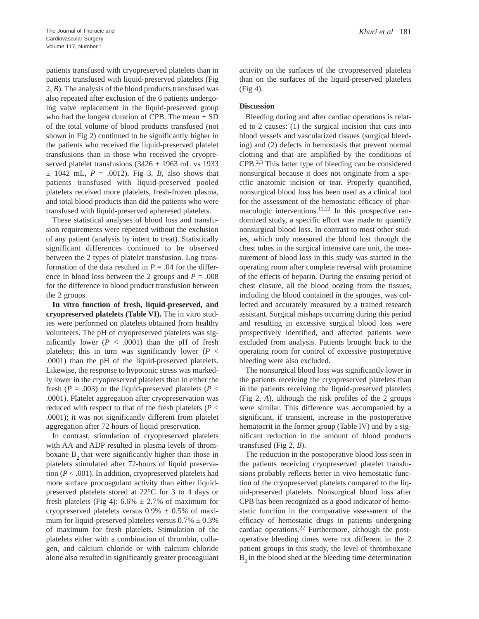patients transfused with cryopreserved platelets than in patients transfused with liquid-preserved platelets (Fig 2, *B*). The analysis of the blood products transfused was also repeated after exclusion of the 6 patients undergoing valve replacement in the liquid-preserved group who had the longest duration of CPB. The mean  $\pm$  SD of the total volume of blood products transfused (not shown in Fig 2) continued to be significantly higher in the patients who received the liquid-preserved platelet transfusions than in those who received the cryopreserved platelet transfusions  $(3426 \pm 1963 \text{ mL} \text{ vs } 1933)$  $\pm$  1042 mL,  $P = .0012$ ). Fig 3, *B*, also shows that patients transfused with liquid-preserved pooled platelets received more platelets, fresh-frozen plasma, and total blood products than did the patients who were transfused with liquid-preserved apheresed platelets.

These statistical analyses of blood loss and transfusion requirements were repeated without the exclusion of any patient (analysis by intent to treat). Statistically significant differences continued to be observed between the 2 types of platelet transfusion. Log transformation of the data resulted in  $P = .04$  for the difference in blood loss between the 2 groups and  $P = .008$ for the difference in blood product transfusion between the 2 groups.

**In vitro function of fresh, liquid-preserved, and cryopreserved platelets (Table VI).** The in vitro studies were performed on platelets obtained from healthy volunteers. The pH of cryopreserved platelets was significantly lower  $(P < .0001)$  than the pH of fresh platelets; this in turn was significantly lower ( $P <$ .0001) than the pH of the liquid-preserved platelets. Likewise, the response to hypotonic stress was markedly lower in the cryopreserved platelets than in either the fresh ( $P = .003$ ) or the liquid-preserved platelets ( $P <$ .0001). Platelet aggregation after cryopreservation was reduced with respect to that of the fresh platelets (*P* < .0001); it was not significantly different from platelet aggregation after 72 hours of liquid preservation.

In contrast, stimulation of cryopreserved platelets with AA and ADP resulted in plasma levels of thromboxane  $B_2$  that were significantly higher than those in platelets stimulated after 72-hours of liquid preservation  $(P < .001)$ . In addition, cryopreserved platelets had more surface procoagulant activity than either liquidpreserved platelets stored at 22°C for 3 to 4 days or fresh platelets (Fig 4):  $6.6\% \pm 2.7\%$  of maximum for cryopreserved platelets versus  $0.9\% \pm 0.5\%$  of maximum for liquid-preserved platelets versus  $0.7\% \pm 0.3\%$ of maximum for fresh platelets. Stimulation of the platelets either with a combination of thrombin, collagen, and calcium chloride or with calcium chloride alone also resulted in significantly greater procoagulant activity on the surfaces of the cryopreserved platelets than on the surfaces of the liquid-preserved platelets (Fig 4).

# **Discussion**

Bleeding during and after cardiac operations is related to 2 causes: (1) the surgical incision that cuts into blood vessels and vascularized tissues (surgical bleeding) and (2) defects in hemostasis that prevent normal clotting and that are amplified by the conditions of CPB.2,3 This latter type of bleeding can be considered nonsurgical because it does not originate from a specific anatomic incision or tear. Properly quantified, nonsurgical blood loss has been used as a clinical tool for the assessment of the hemostatic efficacy of pharmacologic interventions.<sup>12,22</sup> In this prospective randomized study, a specific effort was made to quantify nonsurgical blood loss. In contrast to most other studies, which only measured the blood lost through the chest tubes in the surgical intensive care unit, the measurement of blood loss in this study was started in the operating room after complete reversal with protamine of the effects of heparin. During the ensuing period of chest closure, all the blood oozing from the tissues, including the blood contained in the sponges, was collected and accurately measured by a trained research assistant. Surgical mishaps occurring during this period and resulting in excessive surgical blood loss were prospectively identified, and affected patients were excluded from analysis. Patients brought back to the operating room for control of excessive postoperative bleeding were also excluded.

The nonsurgical blood loss was significantly lower in the patients receiving the cryopreserved platelets than in the patients receiving the liquid-preserved platelets (Fig 2, *A*), although the risk profiles of the 2 groups were similar. This difference was accompanied by a significant, if transient, increase in the postoperative hematocrit in the former group (Table IV) and by a significant reduction in the amount of blood products transfused (Fig 2, *B*).

The reduction in the postoperative blood loss seen in the patients receiving cryopreserved platelet transfusions probably reflects better in vivo hemostatic function of the cryopreserved platelets compared to the liquid-preserved platelets. Nonsurgical blood loss after CPB has been recognized as a good indicator of hemostatic function in the comparative assessment of the efficacy of hemostatic drugs in patients undergoing cardiac operations.<sup>22</sup> Furthermore, although the postoperative bleeding times were not different in the 2 patient groups in this study, the level of thromboxane  $B<sub>2</sub>$  in the blood shed at the bleeding time determination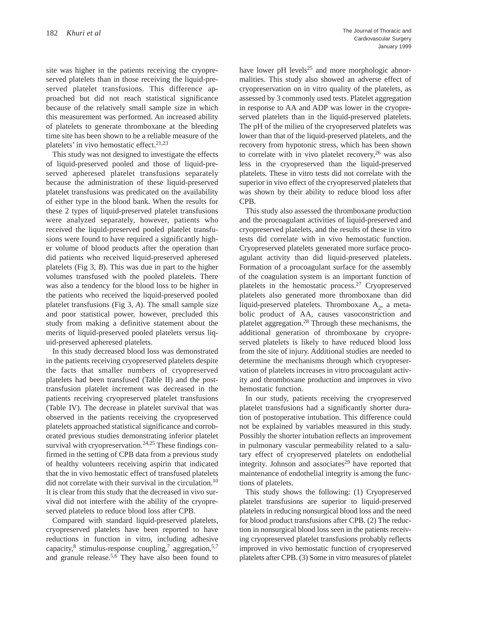site was higher in the patients receiving the cryopreserved platelets than in those receiving the liquid-preserved platelet transfusions. This difference approached but did not reach statistical significance because of the relatively small sample size in which this measurement was performed. An increased ability of platelets to generate thromboxane at the bleeding time site has been shown to be a reliable measure of the platelets' in vivo hemostatic effect. $21,23$ 

This study was not designed to investigate the effects of liquid-preserved pooled and those of liquid-preserved apheresed platelet transfusions separately because the administration of these liquid-preserved platelet transfusions was predicated on the availability of either type in the blood bank. When the results for these 2 types of liquid-preserved platelet transfusions were analyzed separately, however, patients who received the liquid-preserved pooled platelet transfusions were found to have required a significantly higher volume of blood products after the operation than did patients who received liquid-preserved apheresed platelets (Fig 3, *B*). This was due in part to the higher volumes transfused with the pooled platelets. There was also a tendency for the blood loss to be higher in the patients who received the liquid-preserved pooled platelet transfusions (Fig 3, *A*). The small sample size and poor statistical power, however, precluded this study from making a definitive statement about the merits of liquid-preserved pooled platelets versus liquid-preserved apheresed platelets.

In this study decreased blood loss was demonstrated in the patients receiving cryopreserved platelets despite the facts that smaller numbers of cryopreserved platelets had been transfused (Table II) and the posttransfusion platelet increment was decreased in the patients receiving cryopreserved platelet transfusions (Table IV). The decrease in platelet survival that was observed in the patients receiving the cryopreserved platelets approached statistical significance and corroborated previous studies demonstrating inferior platelet survival with cryopreservation.<sup>24,25</sup> These findings confirmed in the setting of CPB data from a previous study of healthy volunteers receiving aspirin that indicated that the in vivo hemostatic effect of transfused platelets did not correlate with their survival in the circulation.<sup>10</sup> It is clear from this study that the decreased in vivo survival did not interfere with the ability of the cryopreserved platelets to reduce blood loss after CPB.

Compared with standard liquid-preserved platelets, cryopreserved platelets have been reported to have reductions in function in vitro, including adhesive capacity,<sup>8</sup> stimulus-response coupling,<sup>7</sup> aggregation,<sup>5,7</sup> and granule release.<sup>5,6</sup> They have also been found to have lower pH levels<sup>25</sup> and more morphologic abnormalities. This study also showed an adverse effect of cryopreservation on in vitro quality of the platelets, as assessed by 3 commonly used tests. Platelet aggregation in response to AA and ADP was lower in the cryopreserved platelets than in the liquid-preserved platelets. The pH of the milieu of the cryopreserved platelets was lower than that of the liquid-preserved platelets, and the recovery from hypotonic stress, which has been shown to correlate with in vivo platelet recovery,  $26$  was also less in the cryopreserved than the liquid-preserved platelets. These in vitro tests did not correlate with the superior in vivo effect of the cryopreserved platelets that was shown by their ability to reduce blood loss after CPB.

This study also assessed the thromboxane production and the procoagulant activities of liquid-preserved and cryopreserved platelets, and the results of these in vitro tests did correlate with in vivo hemostatic function. Cryopreserved platelets generated more surface procoagulant activity than did liquid-preserved platelets. Formation of a procoagulant surface for the assembly of the coagulation system is an important function of platelets in the hemostatic process.<sup>27</sup> Cryopreserved platelets also generated more thromboxane than did liquid-preserved platelets. Thromboxane  $A_2$ , a metabolic product of AA, causes vasoconstriction and platelet aggregation.28 Through these mechanisms, the additional generation of thromboxane by cryopreserved platelets is likely to have reduced blood loss from the site of injury. Additional studies are needed to determine the mechanisms through which cryopreservation of platelets increases in vitro procoagulant activity and thromboxane production and improves in vivo hemostatic function.

In our study, patients receiving the cryopreserved platelet transfusions had a significantly shorter duration of postoperative intubation. This difference could not be explained by variables measured in this study. Possibly the shorter intubation reflects an improvement in pulmonary vascular permeability related to a salutary effect of cryopreserved platelets on endothelial integrity. Johnson and associates<sup>29</sup> have reported that maintenance of endothelial integrity is among the functions of platelets.

This study shows the following: (1) Cryopreserved platelet transfusions are superior to liquid-preserved platelets in reducing nonsurgical blood loss and the need for blood product transfusions after CPB. (2) The reduction in nonsurgical blood loss seen in the patients receiving cryopreserved platelet transfusions probably reflects improved in vivo hemostatic function of cryopreserved platelets after CPB. (3) Some in vitro measures of platelet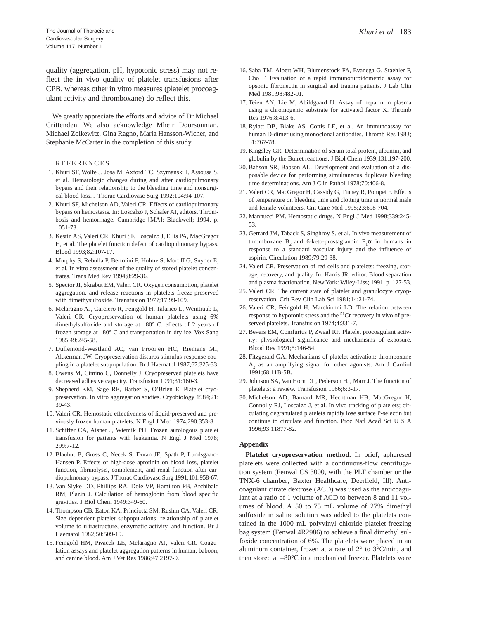quality (aggregation, pH, hypotonic stress) may not reflect the in vivo quality of platelet transfusions after CPB, whereas other in vitro measures (platelet procoagulant activity and thromboxane) do reflect this.

We greatly appreciate the efforts and advice of Dr Michael Crittenden. We also acknowledge Mheir Doursounian, Michael Zolkewitz, Gina Ragno, Maria Hansson-Wicher, and Stephanie McCarter in the completion of this study.

# REFERENCES

- 1. Khuri SF, Wolfe J, Josa M, Axford TC, Szymanski I, Assousa S, et al. Hematologic changes during and after cardiopulmonary bypass and their relationship to the bleeding time and nonsurgical blood loss. J Thorac Cardiovasc Surg 1992;104:94-107.
- 2. Khuri SF, Michelson AD, Valeri CR. Effects of cardiopulmonary bypass on hemostasis. In: Loscalzo J, Schafer AI, editors. Thrombosis and hemorrhage. Cambridge [MA]: Blackwell; 1994. p. 1051-73.
- 3. Kestin AS, Valeri CR, Khuri SF, Loscalzo J, Ellis PA, MacGregor H, et al. The platelet function defect of cardiopulmonary bypass. Blood 1993;82:107-17.
- 4. Murphy S, Rebulla P, Bertolini F, Holme S, Moroff G, Snyder E, et al. In vitro assessment of the quality of stored platelet concentrates. Trans Med Rev 1994;8:29-36.
- 5. Spector JI, Skrabut EM, Valeri CR. Oxygen consumption, platelet aggregation, and release reactions in platelets freeze-preserved with dimethysulfoxide. Transfusion 1977;17:99-109.
- 6. Melaragno AJ, Carciero R, Feingold H, Talarico L, Weintraub L, Valeri CR. Cryopreservation of human platelets using 6% dimethylsulfoxide and storage at –80° C: effects of 2 years of frozen storage at –80° C and transportation in dry ice. Vox Sang 1985;49:245-58.
- 7. Dullemond-Westland AC, van Prooijen HC, Riemens MI, Akkerman JW. Cryopreservation disturbs stimulus-response coupling in a platelet subpopulation. Br J Haematol 1987;67:325-33.
- 8. Owens M, Cimino C, Donnelly J. Cryopreserved platelets have decreased adhesive capacity. Transfusion 1991;31:160-3.
- 9. Shepherd KM, Sage RE, Barber S, O'Brien E. Platelet cryopreservation. In vitro aggregation studies. Cryobiology 1984;21: 39-43.
- 10. Valeri CR. Hemostatic effectiveness of liquid-preserved and previously frozen human platelets. N Engl J Med 1974;290:353-8.
- 11. Schiffer CA, Aisner J, Wiemik PH. Frozen autologous platelet transfusion for patients with leukemia. N Engl J Med 1978; 299:7-12.
- 12. Blauhut B, Gross C, Necek S, Doran JE, Spath P, Lundsgaard-Hansen P. Effects of high-dose aprotinin on blood loss, platelet function, fibrinolysis, complement, and renal function after cardiopulmonary bypass. J Thorac Cardiovasc Surg 1991;101:958-67.
- 13. Van Slyke DD, Phillips RA, Dole VP, Hamilton PB, Archibald RM, Plazin J. Calculation of hemoglobin from blood specific gravities. J Biol Chem 1949:349-60.
- 14. Thompson CB, Eaton KA, Princiotta SM, Rushin CA, Valeri CR. Size dependent platelet subpopulations: relationship of platelet volume to ultrastructure, enzymatic activity, and function. Br J Haematol 1982;50:509-19.
- 15. Feingold HM, Pivacek LE, Melaragno AJ, Valeri CR. Coagulation assays and platelet aggregation patterns in human, baboon, and canine blood. Am J Vet Res 1986;47:2197-9.
- 16. Saba TM, Albert WH, Blumenstock FA, Evanega G, Staehler F, Cho F. Evaluation of a rapid immunoturbidometric assay for opsonic fibronectin in surgical and trauma patients. J Lab Clin Med 1981;98:482-91.
- 17. Teien AN, Lie M, Abildgaard U. Assay of heparin in plasma using a chromogenic substrate for activated factor X. Thromb Res 1976;8:413-6.
- 18. Rylatt DB, Blake AS, Cottis LE, et al. An immunoassay for human D-dimer using monoclonal antibodies. Thromb Res 1983; 31:767-78.
- 19. Kingsley GR. Determination of serum total protein, albumin, and globulin by the Buiret reactions. J Biol Chem 1939;131:197-200.
- 20. Babson SR, Babson AL. Development and evaluation of a disposable device for performing simultaneous duplicate bleeding time determinations. Am J Clin Pathol 1978;70:406-8.
- 21. Valeri CR, MacGregor H, Cassidy G, Tinney R, Pompei F. Effects of temperature on bleeding time and clotting time in normal male and female volunteers. Crit Care Med 1995;23:698-704.
- 22. Mannucci PM. Hemostatic drugs. N Engl J Med 1998;339:245- 53.
- 23. Gerrard JM, Taback S, Singhroy S, et al. In vivo measurement of thromboxane B<sub>2</sub> and 6-keto-prostaglandin  $F_1\alpha$  in humans in response to a standard vascular injury and the influence of aspirin. Circulation 1989;79:29-38.
- 24. Valeri CR. Preservation of red cells and platelets: freezing, storage, recovery, and quality. In: Harris JR, editor. Blood separation and plasma fractionation. New York: Wiley-Liss; 1991. p. 127-53.
- 25. Valeri CR. The current state of platelet and granulocyte cryopreservation. Crit Rev Clin Lab Sci 1981;14:21-74.
- 26. Valeri CR, Feingold H, Marchionni LD. The relation between response to hypotonic stress and the 51Cr recovery in vivo of preserved platelets. Transfusion 1974;4:331-7.
- 27. Bevers EM, Comfurius P, Zwaal RF. Platelet procoagulant activity: physiological significance and mechanisms of exposure. Blood Rev 1991;5:146-54.
- 28. Fitzgerald GA. Mechanisms of platelet activation: thromboxane A<sub>2</sub> as an amplifying signal for other agonists. Am J Cardiol 1991;68:11B-5B.
- 29. Johnson SA, Van Horn DL, Pederson HJ, Marr J. The function of platelets: a review. Transfusion 1966;6:3-17.
- 30. Michelson AD, Barnard MR, Hechtman HB, MacGregor H, Connolly RJ, Loscalzo J, et al. In vivo tracking of platelets; circulating degranulated platelets rapidly lose surface P-selectin but continue to circulate and function. Proc Natl Acad Sci U S A 1996;93:11877-82.

#### **Appendix**

**Platelet cryopreservation method.** In brief, apheresed platelets were collected with a continuous-flow centrifugation system (Fenwal CS 3000, with the PLT chamber or the TNX-6 chamber; Baxter Healthcare, Deerfield, Ill). Anticoagulant citrate dextrose (ACD) was used as the anticoagulant at a ratio of 1 volume of ACD to between 8 and 11 volumes of blood. A 50 to 75 mL volume of 27% dimethyl sulfoxide in saline solution was added to the platelets contained in the 1000 mL polyvinyl chloride platelet-freezing bag system (Fenwal 4R2986) to achieve a final dimethyl sulfoxide concentration of 6%. The platelets were placed in an aluminum container, frozen at a rate of 2° to 3°C/min, and then stored at –80°C in a mechanical freezer. Platelets were